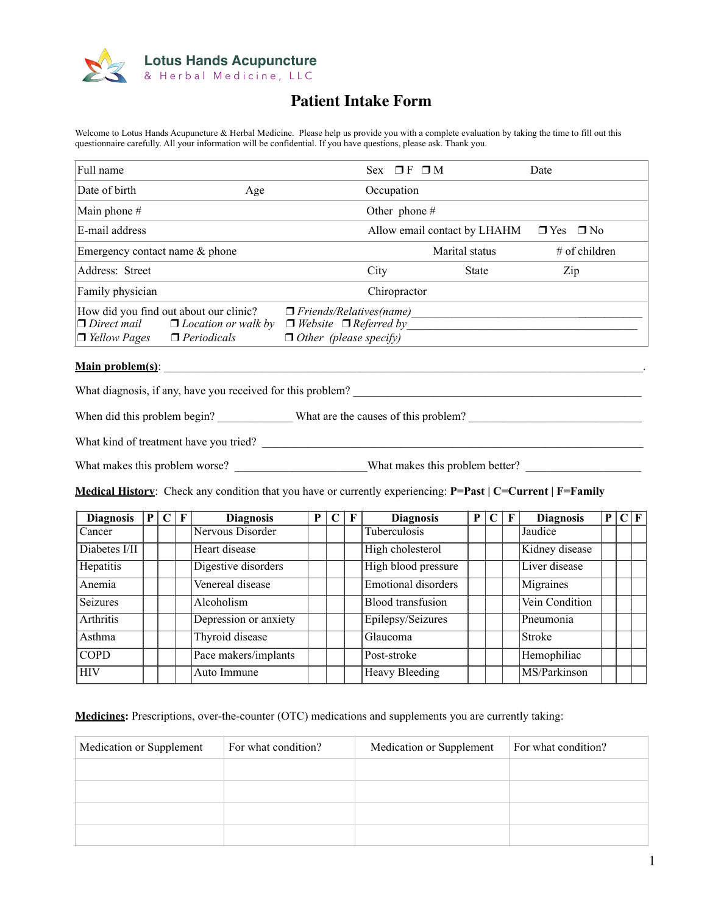

## **Patient Intake Form**

Welcome to Lotus Hands Acupuncture & Herbal Medicine. Please help us provide you with a complete evaluation by taking the time to fill out this questionnaire carefully. All your information will be confidential. If you have questions, please ask. Thank you.

| Full name                                 |                                                                                            |                                                                                                      | Sex $\Pi$ F $\Pi$ M |                              | Date             |
|-------------------------------------------|--------------------------------------------------------------------------------------------|------------------------------------------------------------------------------------------------------|---------------------|------------------------------|------------------|
| Date of birth                             | Age                                                                                        |                                                                                                      | Occupation          |                              |                  |
| Main phone $#$                            |                                                                                            |                                                                                                      | Other phone $#$     |                              |                  |
| E-mail address                            |                                                                                            |                                                                                                      |                     | Allow email contact by LHAHM | $\n  7 Yes 7 No$ |
| Emergency contact name $&$ phone          |                                                                                            |                                                                                                      |                     | Marital status               | $#$ of children  |
| Address: Street                           |                                                                                            |                                                                                                      | City                | <b>State</b>                 | Zip              |
| Family physician                          |                                                                                            |                                                                                                      | Chiropractor        |                              |                  |
| $\Box$ Direct mail<br>$\Box$ Yellow Pages | How did you find out about our clinic?<br>$\Box$ Location or walk by<br>$\Box$ Periodicals | $\Box$ Friends/Relatives(name)<br>$\Box$ Website $\Box$ Referred by<br>$\Box$ Other (please specify) |                     |                              |                  |

## **Main problem(s)**: \_\_\_\_\_\_\_\_\_\_\_\_\_\_\_\_\_\_\_\_\_\_\_\_\_\_\_\_\_\_\_\_\_\_\_\_\_\_\_\_\_\_\_\_\_\_\_\_\_\_\_\_\_\_\_\_\_\_\_\_\_\_\_\_\_\_\_\_\_\_\_\_\_\_\_\_\_\_\_\_\_\_\_.

What diagnosis, if any, have you received for this problem? \_\_\_\_\_\_\_\_\_\_\_\_\_\_\_\_\_\_\_\_\_\_\_\_\_\_\_\_\_\_\_\_\_\_\_\_\_\_\_\_\_\_\_\_\_\_\_\_\_\_

When did this problem begin? What are the causes of this problem?

What kind of treatment have you tried? \_\_\_\_\_\_\_\_\_\_\_\_\_\_\_\_\_\_\_\_\_\_\_\_\_\_\_\_\_\_\_\_\_\_\_\_\_\_\_\_\_\_\_\_\_\_\_\_\_\_\_\_\_\_\_\_\_\_\_\_\_\_\_\_\_\_

What makes this problem worse? \_\_\_\_\_\_\_\_\_\_\_\_\_\_\_\_\_\_\_\_\_\_\_What makes this problem better? \_\_\_\_\_\_\_\_\_\_\_\_\_\_\_\_\_\_\_\_

**Medical History**: Check any condition that you have or currently experiencing: **P=Past | C=Current | F=Family**

| <b>Diagnosis</b> | P <sub>1</sub> | $\mathbf C$ | F | <b>Diagnosis</b>      | P | C | F | <b>Diagnosis</b>           | P |  | <b>Diagnosis</b> | P C F |  |
|------------------|----------------|-------------|---|-----------------------|---|---|---|----------------------------|---|--|------------------|-------|--|
| Cancer           |                |             |   | Nervous Disorder      |   |   |   | Tuberculosis               |   |  | Jaudice          |       |  |
| Diabetes I/II    |                |             |   | Heart disease         |   |   |   | High cholesterol           |   |  | Kidney disease   |       |  |
| Hepatitis        |                |             |   | Digestive disorders   |   |   |   | High blood pressure        |   |  | Liver disease    |       |  |
| Anemia           |                |             |   | Venereal disease      |   |   |   | <b>Emotional disorders</b> |   |  | Migraines        |       |  |
| <b>Seizures</b>  |                |             |   | Alcoholism            |   |   |   | <b>Blood</b> transfusion   |   |  | Vein Condition   |       |  |
| <b>Arthritis</b> |                |             |   | Depression or anxiety |   |   |   | Epilepsy/Seizures          |   |  | Pneumonia        |       |  |
| Asthma           |                |             |   | Thyroid disease       |   |   |   | Glaucoma                   |   |  | <b>Stroke</b>    |       |  |
| <b>COPD</b>      |                |             |   | Pace makers/implants  |   |   |   | Post-stroke                |   |  | Hemophiliac      |       |  |
| <b>HIV</b>       |                |             |   | Auto Immune           |   |   |   | <b>Heavy Bleeding</b>      |   |  | MS/Parkinson     |       |  |

**Medicines:** Prescriptions, over-the-counter (OTC) medications and supplements you are currently taking:

| Medication or Supplement | For what condition? | Medication or Supplement | For what condition? |
|--------------------------|---------------------|--------------------------|---------------------|
|                          |                     |                          |                     |
|                          |                     |                          |                     |
|                          |                     |                          |                     |
|                          |                     |                          |                     |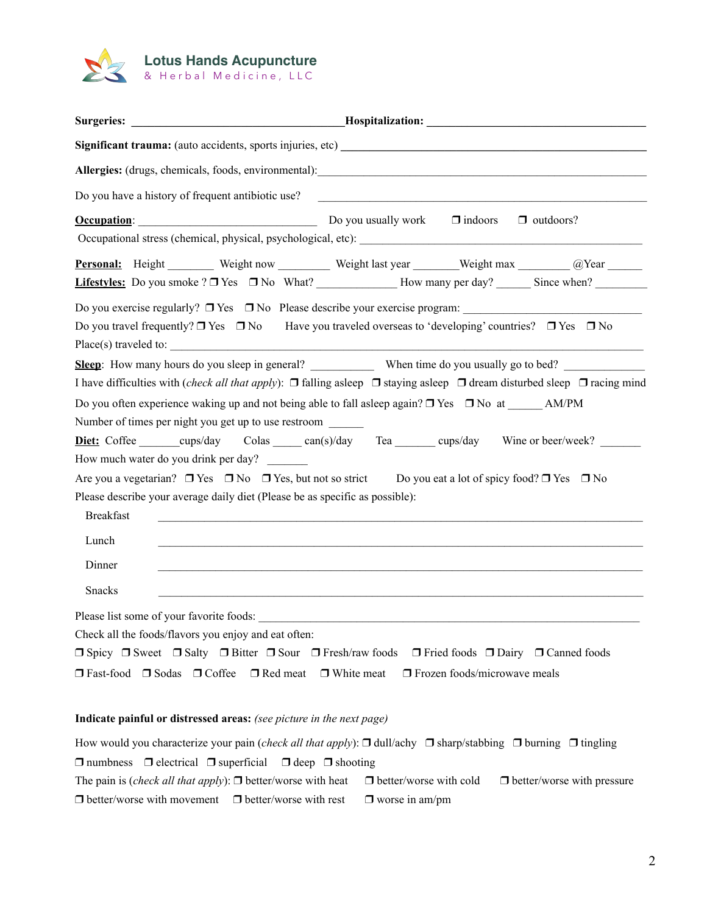

| Do you have a history of frequent antibiotic use?                                                                                                                                               |
|-------------------------------------------------------------------------------------------------------------------------------------------------------------------------------------------------|
| <b>Occupation:</b> $\qquad \qquad$ Do you usually work $\qquad \qquad$ indoors<br>$\Box$ outdoors?                                                                                              |
|                                                                                                                                                                                                 |
| Personal: Height _______ Weight now _______ Weight last year ______ Weight max ______ @Year _____<br><b>Lifestyles:</b> Do you smoke $? \Box$ Yes $\Box$ No What? How many per day? Since when? |
|                                                                                                                                                                                                 |
| Do you travel frequently? $\Box$ Yes $\Box$ No Have you traveled overseas to 'developing' countries? $\Box$ Yes $\Box$ No                                                                       |
| Place(s) traveled to:                                                                                                                                                                           |
| Sleep: How many hours do you sleep in general? When time do you usually go to bed?                                                                                                              |
| I have difficulties with <i>(check all that apply)</i> : $\Box$ falling asleep $\Box$ staying asleep $\Box$ dream disturbed sleep $\Box$ racing mind                                            |
| Do you often experience waking up and not being able to fall asleep again? $\Box$ Yes $\Box$ No at AM/PM                                                                                        |
| Number of times per night you get up to use restroom                                                                                                                                            |
| Diet: Coffee cups/day Colas can(s)/day Tea cups/day Wine or beer/week?                                                                                                                          |
| How much water do you drink per day?                                                                                                                                                            |
| Are you a vegetarian? $\Box$ Yes $\Box$ No $\Box$ Yes, but not so strict Do you eat a lot of spicy food? $\Box$ Yes $\Box$ No                                                                   |
| Please describe your average daily diet (Please be as specific as possible):                                                                                                                    |
| <b>Breakfast</b>                                                                                                                                                                                |
| Lunch                                                                                                                                                                                           |
| Dinner                                                                                                                                                                                          |
| <b>Snacks</b>                                                                                                                                                                                   |
|                                                                                                                                                                                                 |
| Check all the foods/flavors you enjoy and eat often:                                                                                                                                            |
| $\Box$ Spicy $\Box$ Sweet $\Box$ Salty $\Box$ Bitter $\Box$ Sour $\Box$ Fresh/raw foods $\Box$ Fried foods $\Box$ Dairy $\Box$ Canned foods                                                     |
| $\Box$ Fast-food $\Box$ Sodas $\Box$ Coffee $\Box$ Red meat $\Box$ White meat $\Box$ Frozen foods/microwave meals                                                                               |

#### **Indicate painful or distressed areas:** *(see picture in the next page)*

How would you characterize your pain (*check all that apply*): ❒ dull/achy ❒ sharp/stabbing ❒ burning ❒ tingling ❒ numbness ❒ electrical ❒ superficial ❒ deep ❒ shooting The pain is (*check all that apply*): ❒ better/worse with heat ❒ better/worse with cold ❒ better/worse with pressure ❒ better/worse with movement ❒ better/worse with rest ❒ worse in am/pm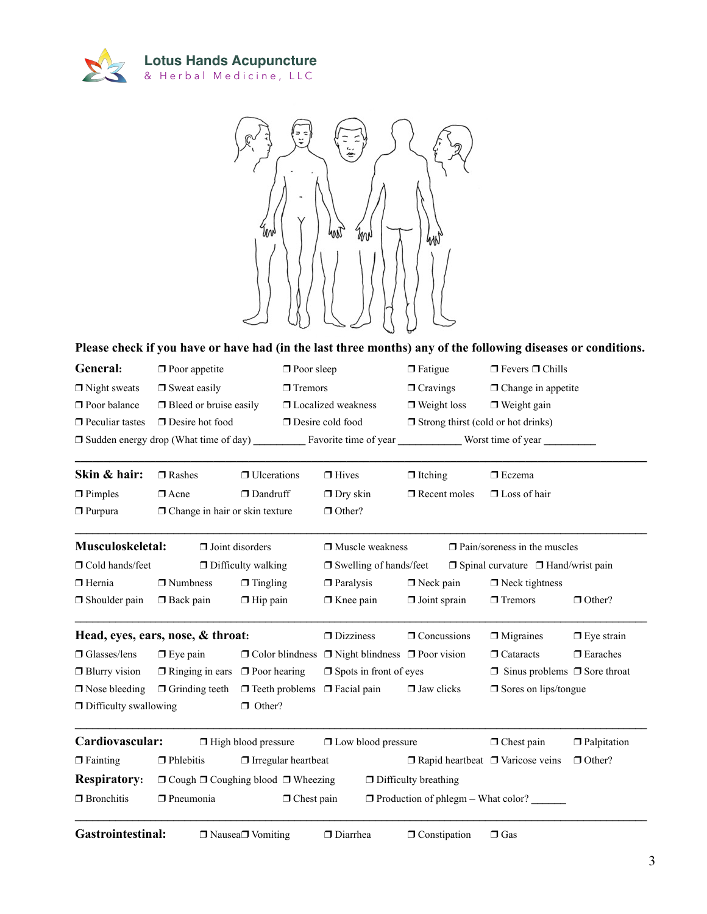



### **Please check if you have or have had (in the last three months) any of the following diseases or conditions.**

| General:               | $\Box$ Poor appetite                         | $\Box$ Poor sleep         | $\Box$ Fatigue                            | $\Box$ Fevers $\Box$ Chills |
|------------------------|----------------------------------------------|---------------------------|-------------------------------------------|-----------------------------|
| $\Box$ Night sweats    | $\Box$ Sweat easily                          | $\Box$ Tremors            | $\Box$ Cravings                           | $\Box$ Change in appetite   |
| $\Box$ Poor balance    | $\Box$ Bleed or bruise easily                | $\Box$ Localized weakness | $\Box$ Weight loss                        | $\Box$ Weight gain          |
| $\Box$ Peculiar tastes | $\Box$ Desire hot food                       | $\Box$ Desire cold food   | $\Box$ Strong thirst (cold or hot drinks) |                             |
|                        | $\Box$ Sudden energy drop (What time of day) | Favorite time of year     |                                           | Worst time of year          |

| Skin & hair:                 | $\Box$ Rashes                         | $\Box$ Ulcerations         | $\Box$ Hives                              | $\Box$ Itching      |                                          | $\Box$ Eczema                                  |                    |  |
|------------------------------|---------------------------------------|----------------------------|-------------------------------------------|---------------------|------------------------------------------|------------------------------------------------|--------------------|--|
| $\Box$ Pimples               | $\Box$ Acne                           | $\Box$ Dandruff            | $\Box$ Dry skin                           | $\Box$ Recent moles |                                          | $\Box$ Loss of hair                            |                    |  |
| $\Box$ Purpura               | $\Box$ Change in hair or skin texture |                            | $\Box$ Other?                             |                     |                                          |                                                |                    |  |
| Musculoskeletal:             | $\Box$ Joint disorders                |                            | $\Box$ Muscle weakness                    |                     |                                          | $\Box$ Pain/soreness in the muscles            |                    |  |
| $\Box$ Cold hands/feet       |                                       | $\Box$ Difficulty walking  | $\Box$ Swelling of hands/feet             |                     |                                          | $\Box$ Spinal curvature $\Box$ Hand/wrist pain |                    |  |
| $\Box$ Hernia                | $\Box$ Numbness                       | $\Box$ Tingling            | $\Box$ Paralysis                          | $\Box$ Neck pain    |                                          | $\Box$ Neck tightness                          |                    |  |
| $\Box$ Shoulder pain         | $\Box$ Back pain                      | $\Box$ Hip pain            | $\Box$ Knee pain                          | $\Box$ Joint sprain |                                          | $\Box$ Tremors                                 | $\Box$ Other?      |  |
|                              | Head, eyes, ears, nose, & throat:     |                            | $\Box$ Dizziness                          | $\Box$ Concussions  |                                          | $\Box$ Migraines                               | $\Box$ Eye strain  |  |
| $\Box$ Glasses/lens          | $\Box$ Eye pain                       | $\Box$ Color blindness     | $\Box$ Night blindness $\Box$ Poor vision |                     |                                          | $\Box$ Cataracts                               | $\Box$ Earaches    |  |
| $\Box$ Blurry vision         | $\Box$ Ringing in ears                | $\Box$ Poor hearing        | $\Box$ Spots in front of eyes             |                     | $\Box$ Sinus problems $\Box$ Sore throat |                                                |                    |  |
| $\Box$ Nose bleeding         | $\Box$ Grinding teeth                 | $\Box$ Teeth problems      | $\Box$ Facial pain<br>$\Box$ Jaw clicks   |                     |                                          | $\Box$ Sores on lips/tongue                    |                    |  |
| $\Box$ Difficulty swallowing |                                       | $\Box$ Other?              |                                           |                     |                                          |                                                |                    |  |
| Cardiovascular:              |                                       | $\Box$ High blood pressure | $\Box$ Low blood pressure                 |                     |                                          | $\Box$ Chest pain                              | $\Box$ Palpitation |  |

❒ Fainting ❒ Phlebitis ❒ Irregular heartbeat ❒ Rapid heartbeat ❒ Varicose veins ❒ Other? **Respiratory:**  $\Box$  Cough  $\Box$  Coughing blood  $\Box$  Wheezing  $\Box$  Difficulty breathing ❒ Bronchitis ❒ Pneumonia ❒ Chest pain ❒ Production of phlegm – What color? \_\_\_\_\_\_

\_\_\_\_\_\_\_\_\_\_\_\_\_\_\_\_\_\_\_\_\_\_\_\_\_\_\_\_\_\_\_\_\_\_\_\_\_\_\_\_\_\_\_\_\_\_\_\_\_\_\_\_\_\_\_\_\_\_\_\_\_\_\_\_\_\_\_\_\_\_\_\_\_\_\_\_\_\_\_\_\_\_\_\_\_\_\_\_\_\_\_\_\_\_\_\_\_\_\_

Gastrointestinal: □ Nausea Uventing □ Diarrhea □ Constipation □ Gas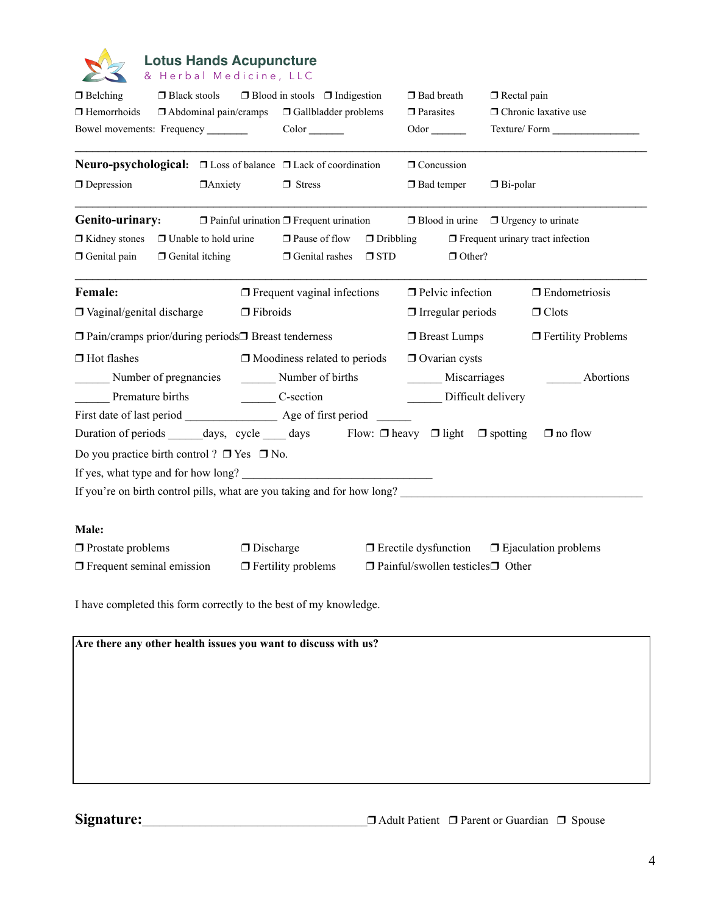

### **Lotus Hands Acupuncture** & Herbal Medicine, LLC

| $\Box$ Belching<br>$\Box$ Black stools<br>$\Box$ Hemorrhoids<br>$\Box$ Abdominal pain/cramps<br>Bowel movements: Frequency |                |                  | $\Box$ Blood in stools $\Box$ Indigestion<br>□ Gallbladder problems<br>Color  |  | $\Box$ Bad breath<br>$\Box$ Parasites<br>Odor            |                             | $\Box$ Rectal pain<br>□ Chronic laxative use |                                               |                                                 |
|----------------------------------------------------------------------------------------------------------------------------|----------------|------------------|-------------------------------------------------------------------------------|--|----------------------------------------------------------|-----------------------------|----------------------------------------------|-----------------------------------------------|-------------------------------------------------|
| <b>Neuro-psychological:</b> $\Box$ Loss of balance $\Box$ Lack of coordination                                             |                |                  |                                                                               |  |                                                          | $\Box$ Concussion           |                                              |                                               |                                                 |
| $\Box$ Depression                                                                                                          | $\Box$ Anxiety |                  | $\Box$ Stress                                                                 |  |                                                          | $\Box$ Bad temper           |                                              | $\Box$ Bi-polar                               |                                                 |
| Genito-urinary:                                                                                                            |                |                  | $\Box$ Painful urination $\Box$ Frequent urination                            |  |                                                          |                             |                                              |                                               | $\Box$ Blood in urine $\Box$ Urgency to urinate |
| $\Box$ Kidney stones<br>$\Box$ Unable to hold urine<br>Genital pain<br>$\Box$ Genital itching                              |                |                  | □ Pause of flow<br>$\Box$ Dribbling<br>$\Box$ Genital rashes<br>$\square$ STD |  | $\Box$ Frequent urinary tract infection<br>$\Box$ Other? |                             |                                              |                                               |                                                 |
| <b>Female:</b>                                                                                                             |                |                  | $\Box$ Frequent vaginal infections                                            |  |                                                          | $\Box$ Pelvic infection     |                                              |                                               | $\Box$ Endometriosis                            |
| $\Box$ Vaginal/genital discharge                                                                                           |                | $\Box$ Fibroids  |                                                                               |  |                                                          | $\Box$ Irregular periods    |                                              |                                               | $\Box$ Clots                                    |
| $\Box$ Pain/cramps prior/during periods $\Box$ Breast tenderness                                                           |                |                  |                                                                               |  |                                                          | □ Breast Lumps              |                                              |                                               | $\Box$ Fertility Problems                       |
| $\Box$ Hot flashes                                                                                                         |                |                  | $\Box$ Moodiness related to periods                                           |  |                                                          | $\Box$ Ovarian cysts        |                                              |                                               |                                                 |
| Number of pregnancies                                                                                                      |                |                  | Number of births                                                              |  | Miscarriages                                             |                             |                                              | Abortions                                     |                                                 |
| Premature births                                                                                                           |                |                  | $C$ -section                                                                  |  | Difficult delivery                                       |                             |                                              |                                               |                                                 |
| First date of last period Age of first period                                                                              |                |                  |                                                                               |  |                                                          |                             |                                              |                                               |                                                 |
| Duration of periods ________ days, cycle _______ days Flow: $\Box$ heavy $\Box$ light $\Box$ spotting                      |                |                  |                                                                               |  |                                                          |                             |                                              |                                               | $\Box$ no flow                                  |
| Do you practice birth control? $\Box$ Yes $\Box$ No.                                                                       |                |                  |                                                                               |  |                                                          |                             |                                              |                                               |                                                 |
| If yes, what type and for how long?                                                                                        |                |                  |                                                                               |  |                                                          |                             |                                              |                                               |                                                 |
| If you're on birth control pills, what are you taking and for how long?                                                    |                |                  |                                                                               |  |                                                          |                             |                                              |                                               |                                                 |
| Male:                                                                                                                      |                |                  |                                                                               |  |                                                          |                             |                                              |                                               |                                                 |
| $\Box$ Prostate problems                                                                                                   |                | $\Box$ Discharge |                                                                               |  |                                                          | $\Box$ Erectile dysfunction |                                              |                                               | $\Box$ Ejaculation problems                     |
| $\Box$ Frequent seminal emission                                                                                           |                |                  | $\Box$ Fertility problems                                                     |  |                                                          |                             |                                              | $\Box$ Painful/swollen testicles $\Box$ Other |                                                 |
| I have completed this form correctly to the best of my knowledge.                                                          |                |                  |                                                                               |  |                                                          |                             |                                              |                                               |                                                 |
| Are there any other health issues you want to discuss with us?                                                             |                |                  |                                                                               |  |                                                          |                             |                                              |                                               |                                                 |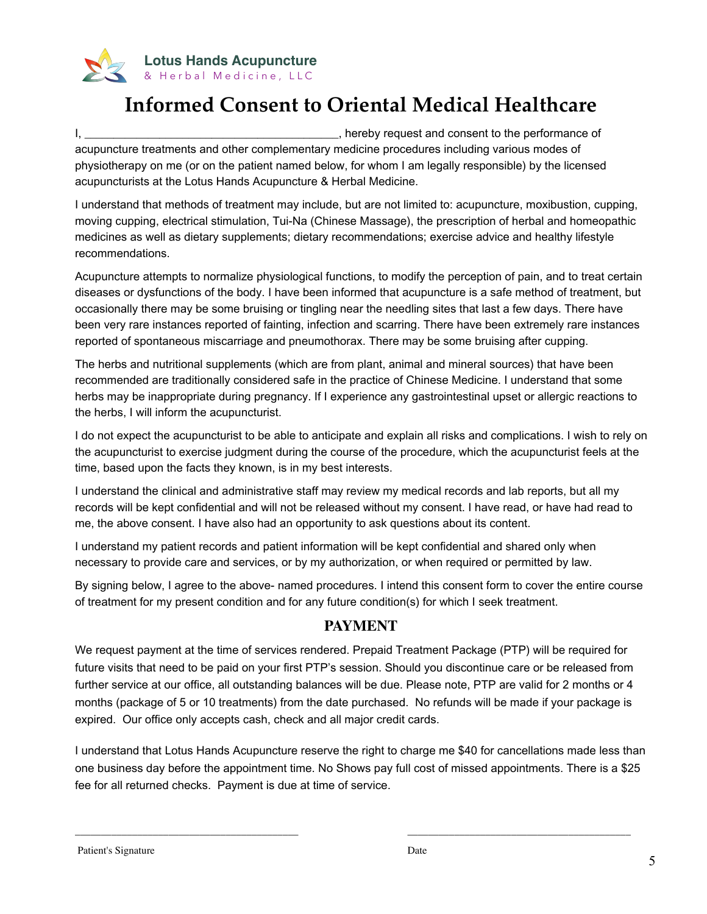

## **Informed Consent to Oriental Medical Healthcare**

I, \_\_\_\_\_\_\_\_\_\_\_\_\_\_\_\_\_\_\_\_\_\_\_\_\_\_\_\_\_\_\_\_\_\_\_\_\_\_\_\_\_\_\_\_, hereby request and consent to the performance of acupuncture treatments and other complementary medicine procedures including various modes of physiotherapy on me (or on the patient named below, for whom I am legally responsible) by the licensed acupuncturists at the Lotus Hands Acupuncture & Herbal Medicine.

I understand that methods of treatment may include, but are not limited to: acupuncture, moxibustion, cupping, moving cupping, electrical stimulation, Tui-Na (Chinese Massage), the prescription of herbal and homeopathic medicines as well as dietary supplements; dietary recommendations; exercise advice and healthy lifestyle recommendations.

Acupuncture attempts to normalize physiological functions, to modify the perception of pain, and to treat certain diseases or dysfunctions of the body. I have been informed that acupuncture is a safe method of treatment, but occasionally there may be some bruising or tingling near the needling sites that last a few days. There have been very rare instances reported of fainting, infection and scarring. There have been extremely rare instances reported of spontaneous miscarriage and pneumothorax. There may be some bruising after cupping.

The herbs and nutritional supplements (which are from plant, animal and mineral sources) that have been recommended are traditionally considered safe in the practice of Chinese Medicine. I understand that some herbs may be inappropriate during pregnancy. If I experience any gastrointestinal upset or allergic reactions to the herbs, I will inform the acupuncturist.

I do not expect the acupuncturist to be able to anticipate and explain all risks and complications. I wish to rely on the acupuncturist to exercise judgment during the course of the procedure, which the acupuncturist feels at the time, based upon the facts they known, is in my best interests.

I understand the clinical and administrative staff may review my medical records and lab reports, but all my records will be kept confidential and will not be released without my consent. I have read, or have had read to me, the above consent. I have also had an opportunity to ask questions about its content.

I understand my patient records and patient information will be kept confidential and shared only when necessary to provide care and services, or by my authorization, or when required or permitted by law.

By signing below, I agree to the above- named procedures. I intend this consent form to cover the entire course of treatment for my present condition and for any future condition(s) for which I seek treatment.

## **PAYMENT**

We request payment at the time of services rendered. Prepaid Treatment Package (PTP) will be required for future visits that need to be paid on your first PTP's session. Should you discontinue care or be released from further service at our office, all outstanding balances will be due. Please note, PTP are valid for 2 months or 4 months (package of 5 or 10 treatments) from the date purchased. No refunds will be made if your package is expired. Our office only accepts cash, check and all major credit cards.

I understand that Lotus Hands Acupuncture reserve the right to charge me \$40 for cancellations made less than one business day before the appointment time. No Shows pay full cost of missed appointments. There is a \$25 fee for all returned checks. Payment is due at time of service.

\_\_\_\_\_\_\_\_\_\_\_\_\_\_\_\_\_\_\_\_\_\_\_\_\_\_\_\_\_\_\_\_\_\_\_\_\_\_\_\_\_\_\_ \_\_\_\_\_\_\_\_\_\_\_\_\_\_\_\_\_\_\_\_\_\_\_\_\_\_\_\_\_\_\_\_\_\_\_\_\_\_\_\_\_\_\_

Patient's Signature Date